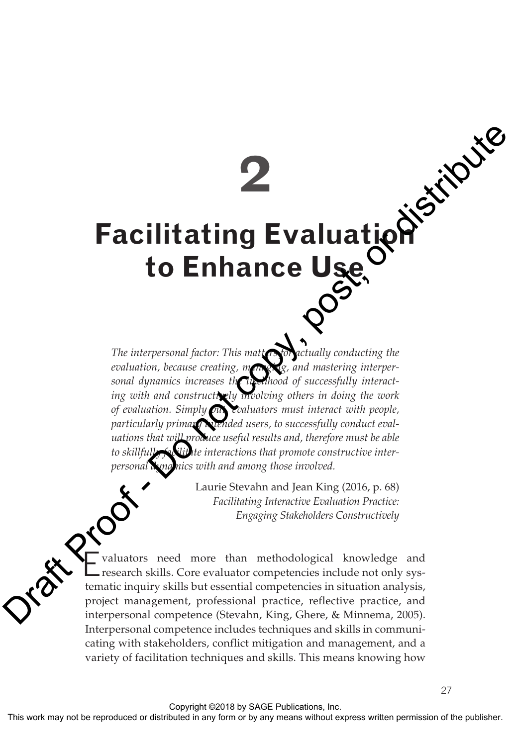**2**

# **Facilitating Evaluation to Enhance Use**

The interpersonal factor: This matters for actually conducting the evaluation, because creating, managing, and mastering interpersonal dynamics increases the likelihood of successfully interacting with and constructively involving others in doing the work *of evaluation. Simply put, evaluators must interact with people,*  particularly primary **Nurnded** users, to successfully conduct eval*uations that will produce useful results and, therefore must be able*  to skillfully *facilities* interactions that promote constructive inter*personal dynamics with and among those involved.* **Example 18 and 2008**<br> **Example 20**<br> **CO**<br> **Example 20**<br> **Example 20**<br> **Example 20**<br> **Example 20**<br> **Example 20**<br>
The interpresental factor. This mail  $Q^{\circ}$ <br>
The interpresentation, because the post-of successfully conduct

Laurie Stevahn and Jean King (2016, p. 68) *Facilitating Interactive Evaluation Practice: Engaging Stakeholders Constructively*

27

Evaluators need more than methodological knowledge and research skills. Core evaluator competencies include not only systematic inquiry skills but essential competencies in situation analysis, project management, professional practice, reflective practice, and interpersonal competence (Stevahn, King, Ghere, & Minnema, 2005). Interpersonal competence includes techniques and skills in communicating with stakeholders, conflict mitigation and management, and a variety of facilitation techniques and skills. This means knowing how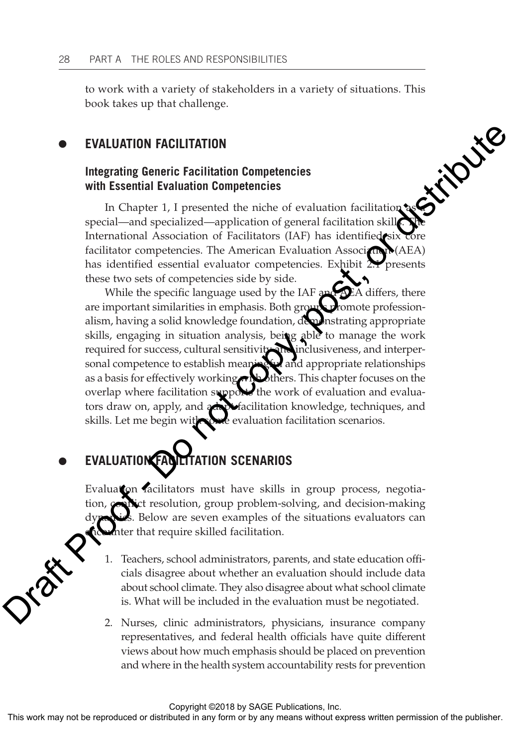to work with a variety of stakeholders in a variety of situations. This book takes up that challenge.

#### **EVALUATION FACILITATION**  $\bullet$

## **Integrating Generic Facilitation Competencies with Essential Evaluation Competencies**

In Chapter 1, I presented the niche of evaluation facilitation as special—and specialized—application of general facilitation skills. The International Association of Facilitators (IAF) has identified six core facilitator competencies. The American Evaluation Association (AEA) has identified essential evaluator competencies. Exhibit 2.1 presents these two sets of competencies side by side.

While the specific language used by the IAF and AEA differs, there are important similarities in emphasis. Both groups promote professionalism, having a solid knowledge foundation, demonstrating appropriate skills, engaging in situation analysis, being able to manage the work required for success, cultural sensitivity and inclusiveness, and interper-<br>sonal competence to establish meaning and appropriate relationships sonal competence to establish meaningful and appropriate relationships as a basis for effectively working with others. This chapter focuses on the overlap where facilitation support the work of evaluation and evaluators draw on, apply, and adapt facilitation knowledge, techniques, and skills. Let me begin with some evaluation facilitation scenarios. ■ EVALUATION PACILITATION<br>
Integrating Generic Facilitation Competencies<br>
with Essential Evaluation Competencies<br>
Frochard Frout Constantine effectively and the mixing constant associated<br>
International Association of E

### **EVALUATION FACILITATION SCENARIOS**  $\bullet$

Evaluation facilitators must have skills in group process, negotiact resolution, group problem-solving, and decision-making Below are seven examples of the situations evaluators can nter that require skilled facilitation.

- 1. Teachers, school administrators, parents, and state education officials disagree about whether an evaluation should include data about school climate. They also disagree about what school climate is. What will be included in the evaluation must be negotiated.
- 2. Nurses, clinic administrators, physicians, insurance company representatives, and federal health officials have quite different views about how much emphasis should be placed on prevention and where in the health system accountability rests for prevention

Copyright ©2018 by SAGE Publications, Inc.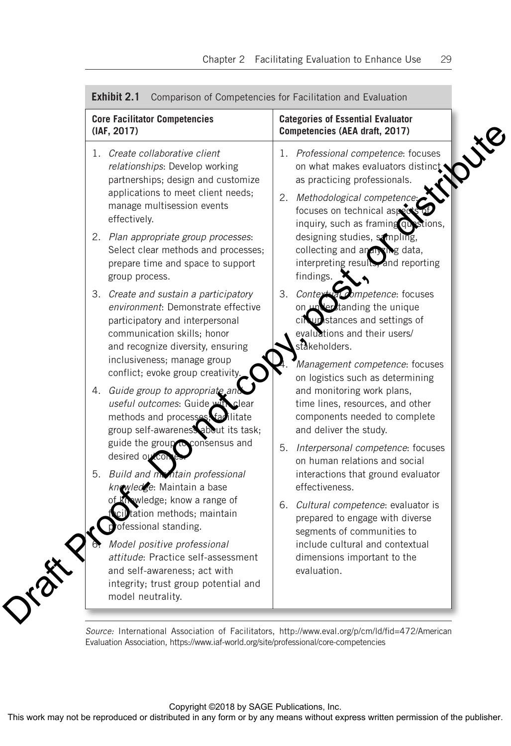| <b>Core Facilitator Competencies</b><br>(IAF, 2017)                                                                                                                                                                        |    | <b>Categories of Essential Evaluator</b><br>Competencies (AEA draft, 2017)                                                                                                                                       |
|----------------------------------------------------------------------------------------------------------------------------------------------------------------------------------------------------------------------------|----|------------------------------------------------------------------------------------------------------------------------------------------------------------------------------------------------------------------|
| 1. Create collaborative client<br>relationships: Develop working<br>partnerships; design and customize<br>applications to meet client needs;<br>manage multisession events<br>effectively.                                 |    | 1. Professional competence: focuses<br>on what makes evaluators distinct<br>as practicing professionals.<br>2. Methodological competence:<br>focuses on technical aspects<br>inquiry, such as framing questions, |
| 2. Plan appropriate group processes:<br>Select clear methods and processes;<br>prepare time and space to support<br>group process.                                                                                         |    | designing studies, sampling,<br>collecting and analysing data,<br>interpreting results, and reporting<br>findings.                                                                                               |
| 3. Create and sustain a participatory<br>environment: Demonstrate effective<br>participatory and interpersonal<br>communication skills; honor<br>and recognize diversity, ensuring                                         | 3. | Contextual competence: focuses<br>on understanding the unique<br>cil unstances and settings of<br>evaluations and their users/<br>stakeholders.                                                                  |
| inclusiveness; manage group<br>conflict; evoke group creativity.<br>4. Guide group to appropriate and<br>useful outcomes: Guide with<br>clear<br>methods and processes, facilitate<br>group self-awareness about its task; |    | Management competence: focuses<br>on logistics such as determining<br>and monitoring work plans,<br>time lines, resources, and other<br>components needed to complete<br>and deliver the study.                  |
| guide the group to consensus and<br>desired outcor<br>5. Build and maintain professional<br>knowledge: Maintain a base                                                                                                     |    | 5. Interpersonal competence: focuses<br>on human relations and social<br>interactions that ground evaluator<br>effectiveness.                                                                                    |
| wledge; know a range of<br>ciltation methods; maintain<br>ofessional standing.                                                                                                                                             |    | 6. Cultural competence: evaluator is<br>prepared to engage with diverse<br>segments of communities to                                                                                                            |
| Model positive professional<br>attitude: Practice self-assessment<br>and self-awareness; act with<br>integrity; trust group potential and<br>model neutrality.                                                             |    | include cultural and contextual<br>dimensions important to the<br>evaluation.                                                                                                                                    |

# **Exhibit 2.1** Comparison of Competencies for Facilitation and Evaluation

Evaluation Association, https://www.iaf-world.org/site/professional/core-competencies

Copyright ©2018 by SAGE Publications, Inc.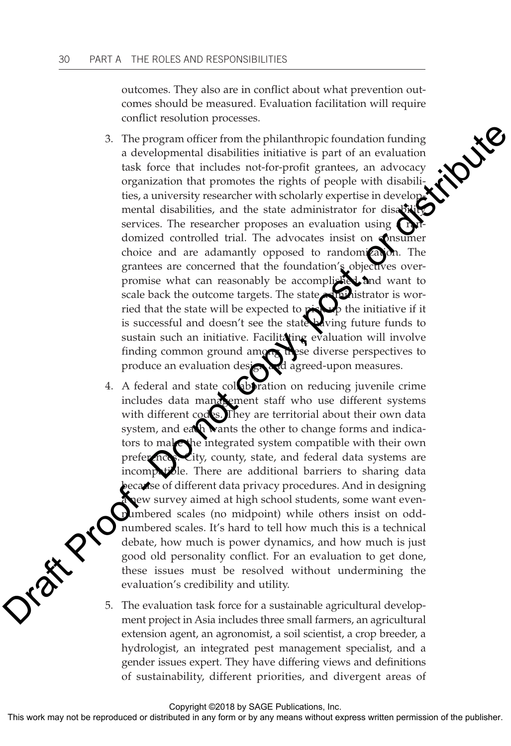outcomes. They also are in conflict about what prevention outcomes should be measured. Evaluation facilitation will require conflict resolution processes.

- 3. The program officer from the philanthropic foundation funding a developmental disabilities initiative is part of an evaluation task force that includes not-for-profit grantees, an advocacy organization that promotes the rights of people with disabilities, a university researcher with scholarly expertise in developmental disabilities, and the state administrator for disabservices. The researcher proposes an evaluation using domized controlled trial. The advocates insist on **consumer** choice and are adamantly opposed to randomization. The grantees are concerned that the foundation's objectives overpromise what can reasonably be accomplished and want to scale back the outcome targets. The state administrator is worried that the state will be expected to pick up the initiative if it is successful and doesn't see the state wing future funds to sustain such an initiative. Facilitating evaluation will involve finding common ground among these diverse perspectives to produce an evaluation designad agreed-upon measures. 3. The program of<br>iter from the philanthropic foundation funding a developmental disolution<br>is in partic in revaluation and the space of the space of the space of<br>equation that includes not-for-positic particles, an advoc
	- 4. A federal and state collaboration on reducing juvenile crime includes data management staff who use different systems with different codes. They are territorial about their own data system, and each wants the other to change forms and indicators to make the integrated system compatible with their own preferences. City, county, state, and federal data systems are incompatible. There are additional barriers to sharing data because of different data privacy procedures. And in designing new survey aimed at high school students, some want evennumbered scales (no midpoint) while others insist on oddnumbered scales. It's hard to tell how much this is a technical debate, how much is power dynamics, and how much is just good old personality conflict. For an evaluation to get done, these issues must be resolved without undermining the evaluation's credibility and utility.

5. The evaluation task force for a sustainable agricultural development project in Asia includes three small farmers, an agricultural extension agent, an agronomist, a soil scientist, a crop breeder, a hydrologist, an integrated pest management specialist, and a gender issues expert. They have differing views and definitions of sustainability, different priorities, and divergent areas of

Copyright ©2018 by SAGE Publications, Inc.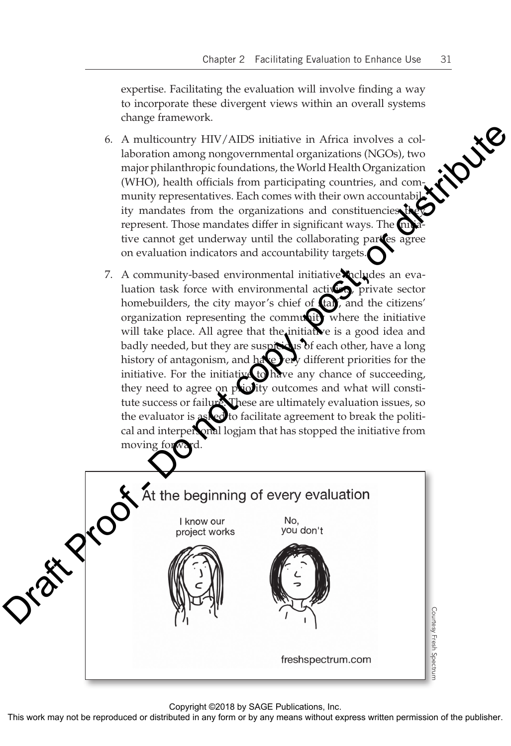expertise. Facilitating the evaluation will involve finding a way to incorporate these divergent views within an overall systems change framework.

- 6. A multicountry HIV/AIDS initiative in Africa involves a collaboration among nongovernmental organizations (NGOs), two major philanthropic foundations, the World Health Organization (WHO), health officials from participating countries, and community representatives. Each comes with their own accountability mandates from the organizations and constituencies represent. Those mandates differ in significant ways. The  $\overline{\text{r}}$ tive cannot get underway until the collaborating parties agree on evaluation indicators and accountability targets.
- 7. A community-based environmental initiative cludes an evaluation task force with environmental activists, private sector homebuilders, the city mayor's chief of **tan**, and the citizens' organization representing the community where the initiative will take place. All agree that the initiative is a good idea and badly needed, but they are suspicious of each other, have a long history of antagonism, and have very different priorities for the initiative. For the initiative to have any chance of succeeding, they need to agree on priority outcomes and what will constitute success or failure. These are ultimately evaluation issues, so the evaluator is asked to facilitate agreement to break the political and interpersonal logjam that has stopped the initiative from moving forwa



Copyright ©2018 by SAGE Publications, Inc.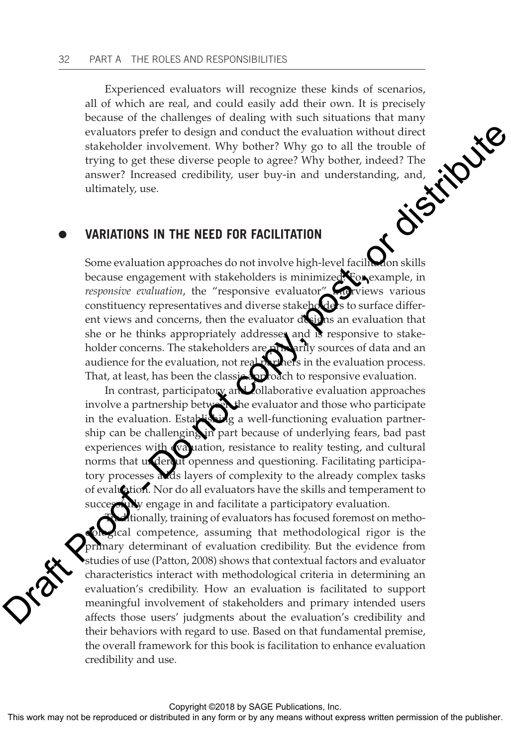Experienced evaluators will recognize these kinds of scenarios, all of which are real, and could easily add their own. It is precisely because of the challenges of dealing with such situations that many evaluators prefer to design and conduct the evaluation without direct stakeholder because of the challenges of dealing with such situations that many evaluators prefer to design and conduct the evaluation without direct stakeholder involvement. Why bother? Why go to all the trouble of trying to get these diverse people to agree? Why bother, indeed? The answer? Increased credibility, user buy-in and understanding, and, ultimately, use.

#### **VARIATIONS IN THE NEED FOR FACILITATION**  $\bullet$

Some evaluation approaches do not involve high-level facilitation skills because engagement with stakeholders is minimized. For example, in *responsive evaluation*, the "responsive evaluator" **interviews** various constituency representatives and diverse stakeholders to surface different views and concerns, then the evaluator designs an evaluation that she or he thinks appropriately addresses and is responsive to stakeholder concerns. The stakeholders are primarily sources of data and an audience for the evaluation, not real partners in the evaluation process. That, at least, has been the classic approach to responsive evaluation. evaluation principle to design and conduct the evaluation without direct material in the stateholder involvement. Why bother, why go to all the trouble of trying to get these diverse people to agree? Why bother, indeed? Th

In contrast, participatory and collaborative evaluation approaches involve a partnership between the evaluator and those who participate in the evaluation. Establishing a well-functioning evaluation partnership can be challenging in part because of underlying fears, bad past experiences with evaluation, resistance to reality testing, and cultural norms that undercut openness and questioning. Facilitating participatory processes adds layers of complexity to the already complex tasks of evaluation. Nor do all evaluators have the skills and temperament to successionly engage in and facilitate a participatory evaluation.

tionally, training of evaluators has focused foremost on methoical competence, assuming that methodological rigor is the primary determinant of evaluation credibility. But the evidence from studies of use (Patton, 2008) shows that contextual factors and evaluator characteristics interact with methodological criteria in determining an evaluation's credibility. How an evaluation is facilitated to support meaningful involvement of stakeholders and primary intended users affects those users' judgments about the evaluation's credibility and their behaviors with regard to use. Based on that fundamental premise, the overall framework for this book is facilitation to enhance evaluation credibility and use.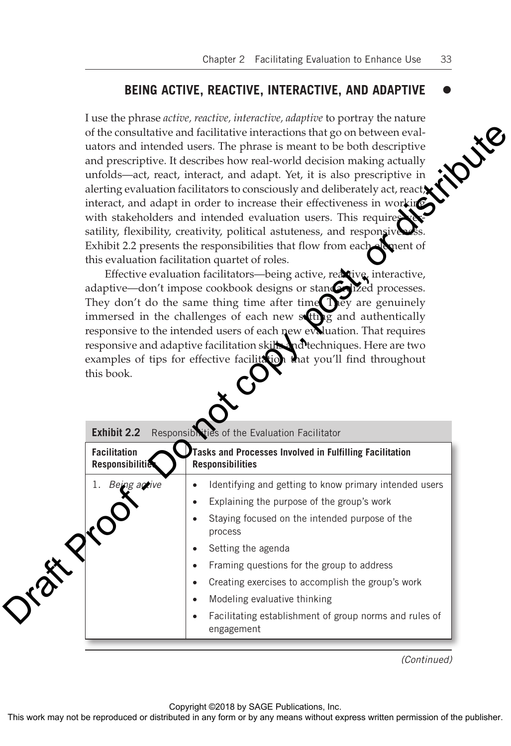#### **BEING ACTIVE, REACTIVE, INTERACTIVE, AND ADAPTIVE**  $\bullet$

I use the phrase *active, reactive, interactive, adaptive* to portray the nature of the consultative and facilitative interactions that go on between evaluators and intended users. The phrase is meant to be both descriptive and prescriptive. It describes how real-world decision making actually unfolds—act, react, interact, and adapt. Yet, it is also prescriptive in alerting evaluation facilitators to consciously and deliberately act, react, interact, and adapt in order to increase their effectiveness in working with stakeholders and intended evaluation users. This requires satility, flexibility, creativity, political astuteness, and responsive Exhibit 2.2 presents the responsibilities that flow from each element of this evaluation facilitation quartet of roles.

| this book.                             |                                                                      | Dire                                                                                                                                                                                                                                                                                                                                                                                                                                                                                                                                                                                                                                                                                                                                                                                                                                                                                                                                                                                                                                                                                                                                                                                                                                                                                                                                                                                                                |
|----------------------------------------|----------------------------------------------------------------------|---------------------------------------------------------------------------------------------------------------------------------------------------------------------------------------------------------------------------------------------------------------------------------------------------------------------------------------------------------------------------------------------------------------------------------------------------------------------------------------------------------------------------------------------------------------------------------------------------------------------------------------------------------------------------------------------------------------------------------------------------------------------------------------------------------------------------------------------------------------------------------------------------------------------------------------------------------------------------------------------------------------------------------------------------------------------------------------------------------------------------------------------------------------------------------------------------------------------------------------------------------------------------------------------------------------------------------------------------------------------------------------------------------------------|
| <b>Exhibit 2.2</b>                     |                                                                      |                                                                                                                                                                                                                                                                                                                                                                                                                                                                                                                                                                                                                                                                                                                                                                                                                                                                                                                                                                                                                                                                                                                                                                                                                                                                                                                                                                                                                     |
| <b>Facilitation</b><br>Responsibilitie |                                                                      |                                                                                                                                                                                                                                                                                                                                                                                                                                                                                                                                                                                                                                                                                                                                                                                                                                                                                                                                                                                                                                                                                                                                                                                                                                                                                                                                                                                                                     |
| 1. Being acrive<br>$\bullet$           | Identifying and getting to know primary intended users               |                                                                                                                                                                                                                                                                                                                                                                                                                                                                                                                                                                                                                                                                                                                                                                                                                                                                                                                                                                                                                                                                                                                                                                                                                                                                                                                                                                                                                     |
|                                        | Explaining the purpose of the group's work                           |                                                                                                                                                                                                                                                                                                                                                                                                                                                                                                                                                                                                                                                                                                                                                                                                                                                                                                                                                                                                                                                                                                                                                                                                                                                                                                                                                                                                                     |
|                                        | Staying focused on the intended purpose of the<br>process            |                                                                                                                                                                                                                                                                                                                                                                                                                                                                                                                                                                                                                                                                                                                                                                                                                                                                                                                                                                                                                                                                                                                                                                                                                                                                                                                                                                                                                     |
| $\bullet$                              | Setting the agenda                                                   |                                                                                                                                                                                                                                                                                                                                                                                                                                                                                                                                                                                                                                                                                                                                                                                                                                                                                                                                                                                                                                                                                                                                                                                                                                                                                                                                                                                                                     |
|                                        | Framing questions for the group to address                           |                                                                                                                                                                                                                                                                                                                                                                                                                                                                                                                                                                                                                                                                                                                                                                                                                                                                                                                                                                                                                                                                                                                                                                                                                                                                                                                                                                                                                     |
|                                        | Creating exercises to accomplish the group's work                    |                                                                                                                                                                                                                                                                                                                                                                                                                                                                                                                                                                                                                                                                                                                                                                                                                                                                                                                                                                                                                                                                                                                                                                                                                                                                                                                                                                                                                     |
| $\bullet$                              | Modeling evaluative thinking                                         |                                                                                                                                                                                                                                                                                                                                                                                                                                                                                                                                                                                                                                                                                                                                                                                                                                                                                                                                                                                                                                                                                                                                                                                                                                                                                                                                                                                                                     |
|                                        | Facilitating establishment of group norms and rules of<br>engagement |                                                                                                                                                                                                                                                                                                                                                                                                                                                                                                                                                                                                                                                                                                                                                                                                                                                                                                                                                                                                                                                                                                                                                                                                                                                                                                                                                                                                                     |
|                                        | Tax Pro                                                              | of the consultative and facilitative interactions that go on between eval-<br>uators and intended users. The phrase is meant to be both descriptive<br>and prescriptive. It describes how real-world decision making actually<br>unfolds—act, react, interact, and adapt. Yet, it is also prescriptive in<br>alerting evaluation facilitators to consciously and deliberately act, react.<br>interact, and adapt in order to increase their effectiveness in working<br>with stakeholders and intended evaluation users. This requires<br>satility, flexibility, creativity, political astuteness, and responsiveness.<br>Exhibit 2.2 presents the responsibilities that flow from each allement of<br>this evaluation facilitation quartet of roles.<br>Effective evaluation facilitators-being active, reactive, interactive,<br>adaptive—don't impose cookbook designs or standardized processes.<br>They don't do the same thing time after time They are genuinely<br>immersed in the challenges of each new setting and authentically<br>responsive to the intended users of each new evaluation. That requires<br>responsive and adaptive facilitation skills and techniques. Here are two<br>examples of tips for effective facilitation that you'll find throughout<br>Responsiblities of the Evaluation Facilitator<br>Tasks and Processes Involved in Fulfilling Facilitation<br><b>Responsibilities</b> |

*(Continued)*

Copyright ©2018 by SAGE Publications, Inc.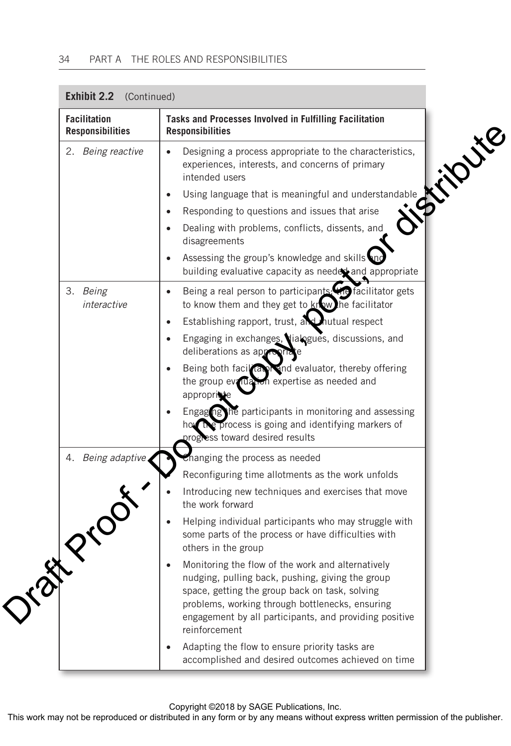| <b>Facilitation</b><br><b>Responsibilities</b> | Tasks and Processes Involved in Fulfilling Facilitation<br><b>Responsibilities</b>                                                                                                                                                                                                    |
|------------------------------------------------|---------------------------------------------------------------------------------------------------------------------------------------------------------------------------------------------------------------------------------------------------------------------------------------|
| 2. Being reactive                              | <b>Killy re</b><br>Designing a process appropriate to the characteristics,<br>$\bullet$<br>experiences, interests, and concerns of primary<br>intended users                                                                                                                          |
|                                                | Using language that is meaningful and understandable<br>$\bullet$                                                                                                                                                                                                                     |
|                                                | Responding to questions and issues that arise<br>$\bullet$                                                                                                                                                                                                                            |
|                                                | Dealing with problems, conflicts, dissents, and<br>$\bullet$<br>disagreements                                                                                                                                                                                                         |
|                                                | Assessing the group's knowledge and skills and<br>building evaluative capacity as needer and appropriate                                                                                                                                                                              |
| 3. Being<br>interactive                        | Being a real person to participants: the facilitator gets<br>$\bullet$<br>to know them and they get to know he facilitator                                                                                                                                                            |
|                                                | Establishing rapport, trust, and mutual respect<br>$\bullet$                                                                                                                                                                                                                          |
|                                                | Engaging in exchanges, lialogues, discussions, and<br>$\bullet$<br>deliberations as appropria                                                                                                                                                                                         |
|                                                | Being both facil and avaluator, thereby offering<br>the group evaluation expertise as needed and<br>appropriate                                                                                                                                                                       |
|                                                | Engaging the participants in monitoring and assessing<br>how the process is going and identifying markers of<br>progress toward desired results                                                                                                                                       |
| 4. Being adaptive.                             | Changing the process as needed                                                                                                                                                                                                                                                        |
|                                                | Reconfiguring time allotments as the work unfolds                                                                                                                                                                                                                                     |
|                                                | Introducing new techniques and exercises that move<br>the work forward                                                                                                                                                                                                                |
|                                                | Helping individual participants who may struggle with<br>$\bullet$<br>some parts of the process or have difficulties with<br>others in the group                                                                                                                                      |
|                                                | Monitoring the flow of the work and alternatively<br>nudging, pulling back, pushing, giving the group<br>space, getting the group back on task, solving<br>problems, working through bottlenecks, ensuring<br>engagement by all participants, and providing positive<br>reinforcement |
|                                                | Adapting the flow to ensure priority tasks are<br>$\bullet$<br>accomplished and desired outcomes achieved on time                                                                                                                                                                     |

**Exhibit 2.2** (Continued)

Copyright ©2018 by SAGE Publications, Inc.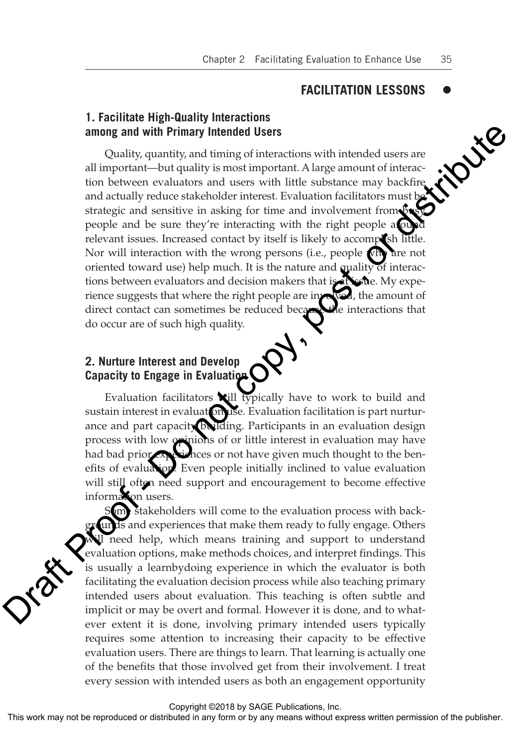#### **FACILITATION LESSONS**  $\bullet$

## **1. Facilitate High-Quality Interactions among and with Primary Intended Users**

Quality, quantity, and timing of interactions with intended users are all important—but quality is most important. A large amount of interaction between evaluators and users with little substance may backfire and actually reduce stakeholder interest. Evaluation facilitators must be strategic and sensitive in asking for time and involvement from busy people and be sure they're interacting with the right people at our relevant issues. Increased contact by itself is likely to accomplish little. Nor will interaction with the wrong persons (i.e., people who are not oriented toward use) help much. It is the nature and quality of interactions between evaluators and decision makers that is at issue. My experience suggests that where the right people are involved, the amount of direct contact can sometimes be reduced because the interactions that direct contact can sometimes be reduced because do occur are of such high quality. among and with Primary intended Users<br>
Coultjug ransition (stimal minimal information with intended users are<br>
all important—but quality is most important. A large amount of interac-<br>
tion between evaluations in duscas wi

# **2. Nurture Interest and Develop Capacity to Engage in Evaluation**

Evaluation facilitators will typically have to work to build and sustain interest in evaluat on use. Evaluation facilitation is part nurturance and part capacity building. Participants in an evaluation design process with low opinions of or little interest in evaluation may have had bad prior experiences or not have given much thought to the benefits of evaluation. Even people initially inclined to value evaluation will still often need support and encouragement to become effective information users.

 $\delta$ om stakeholders will come to the evaluation process with backgrounds and experiences that make them ready to fully engage. Others will need help, which means training and support to understand evaluation options, make methods choices, and interpret findings. This is usually a learnbydoing experience in which the evaluator is both facilitating the evaluation decision process while also teaching primary intended users about evaluation. This teaching is often subtle and implicit or may be overt and formal. However it is done, and to whatever extent it is done, involving primary intended users typically requires some attention to increasing their capacity to be effective evaluation users. There are things to learn. That learning is actually one of the benefits that those involved get from their involvement. I treat every session with intended users as both an engagement opportunity

Copyright ©2018 by SAGE Publications, Inc.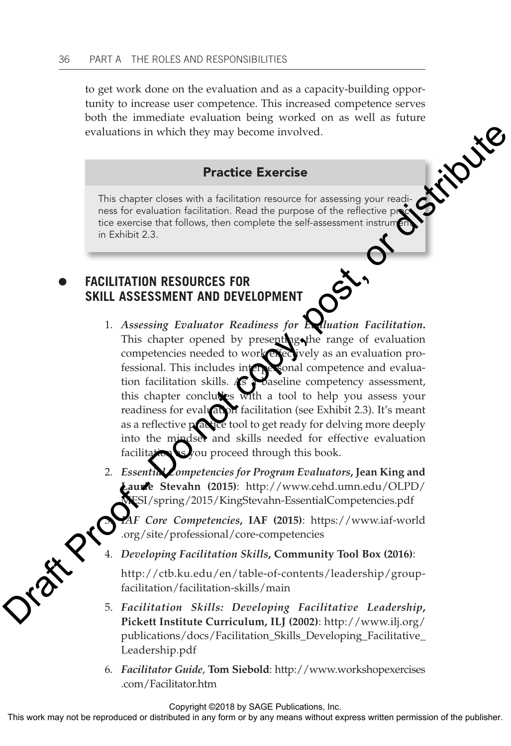to get work done on the evaluation and as a capacity-building opportunity to increase user competence. This increased competence serves both the immediate evaluation being worked on as well as future evaluations in which they may become involved.

## Practice Exercise

This chapter closes with a facilitation resource for assessing your readiness for evaluation facilitation. Read the purpose of the reflective proc tice exercise that follows, then complete the self-assessment instrument in Exhibit 2.3.

## **FACILITATION RESOURCES FOR SKILL ASSESSMENT AND DEVELOPMENT**  $\bullet$

- 1. *Assessing Evaluator Readiness for Evaluation Facilitation***.**  This chapter opened by presenting the range of evaluation competencies needed to work effectively as an evaluation professional. This includes interpersonal competence and evaluation facilitation skills. As **a baseline competency assessment**, this chapter concludes with a tool to help you assess your readiness for evaluation facilitation (see Exhibit 2.3). It's meant as a reflective practice tool to get ready for delving more deeply into the mindset and skills needed for effective evaluation facilitation as you proceed through this book. evaluations in which they may become involved.<br>
Practice Exercise<br>
This chapter closes with a facilitation respuce for assessing your read-<br>
reas for realisable notification. Read the purpose of the relies of particle in
	- 2. *Essential Competencies for Program Evaluators***, Jean King and Laurie Stevahn (2015)**: http://www.cehd.umn.edu/OLPD/ MESI/spring/2015/KingStevahn-EssentialCompetencies.pdf

3. *IAF Core Competencies***, IAF (2015)**: https://www.iaf-world .org/site/professional/core-competencies

4. *Developing Facilitation Skills***, Community Tool Box (2016)**:

http://ctb.ku.edu/en/table-of-contents/leadership/groupfacilitation/facilitation-skills/main

- 5. *Facilitation Skills: Developing Facilitative Leadership***, Pickett Institute Curriculum, ILJ (2002)**: http://www.ilj.org/ publications/docs/Facilitation\_Skills\_Developing\_Facilitative\_ Leadership.pdf
- 6. *Facilitator Guide*, **Tom Siebold**: http://www.workshopexercises .com/Facilitator.htm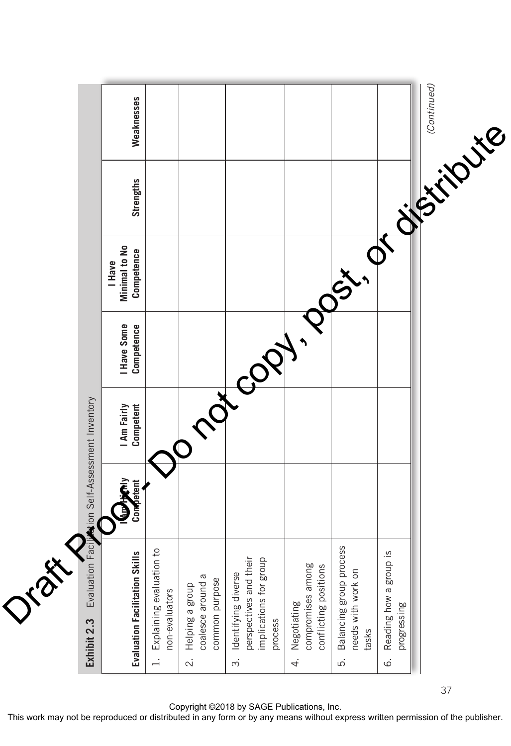| 1 marcoch.<br>$\mathbf O$<br>1. Explaining evaluation to<br>kills<br>perspectives and their<br>implications for group<br><b>Evaluation Facilitation S</b><br>Identifying diverse<br>coalesce around a<br>common purpose<br>Helping a group<br>non-evaluators<br>process<br>$\overline{\mathcal{N}}$<br>$\dot{\infty}$ | Comptent | stion Self-Assessment Inventory<br>I Am Fairly<br>Competent | I Have Some<br>Competence | Minimal to No<br>Competence<br>I Have | <b>Strengths</b> | Weaknesses |
|-----------------------------------------------------------------------------------------------------------------------------------------------------------------------------------------------------------------------------------------------------------------------------------------------------------------------|----------|-------------------------------------------------------------|---------------------------|---------------------------------------|------------------|------------|
|                                                                                                                                                                                                                                                                                                                       |          |                                                             |                           |                                       |                  |            |
|                                                                                                                                                                                                                                                                                                                       |          |                                                             |                           |                                       |                  |            |
|                                                                                                                                                                                                                                                                                                                       |          |                                                             |                           |                                       |                  |            |
| compromises among<br>conflicting positions<br>Negotiating<br>4.                                                                                                                                                                                                                                                       |          |                                                             |                           |                                       |                  |            |
| Popt.<br>Balancing group process<br>needs with work on<br>tasks<br>ξ.                                                                                                                                                                                                                                                 |          |                                                             |                           |                                       |                  |            |
| $\phi^{\text{F}}$<br>si d<br>Reading how a grou<br>progressing<br>$\dot{\circ}$                                                                                                                                                                                                                                       |          |                                                             |                           |                                       | Sistingste,      |            |

Copyright ©2018 by SAGE Publications, Inc.

37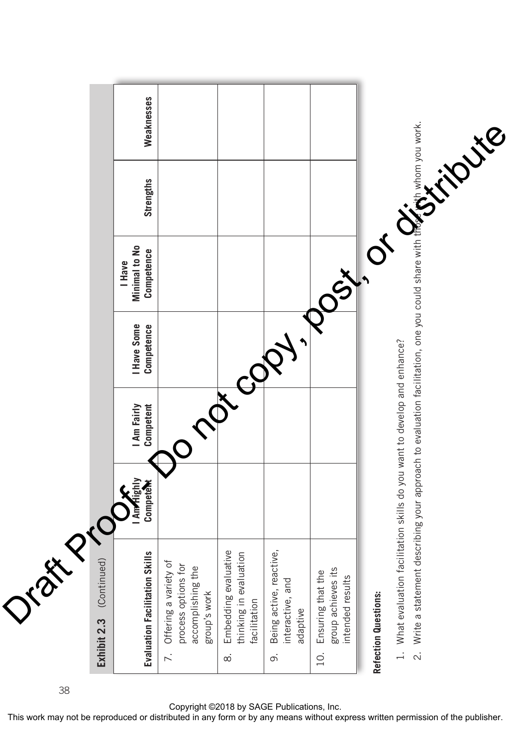

38

Copyright ©2018 by SAGE Publications, Inc.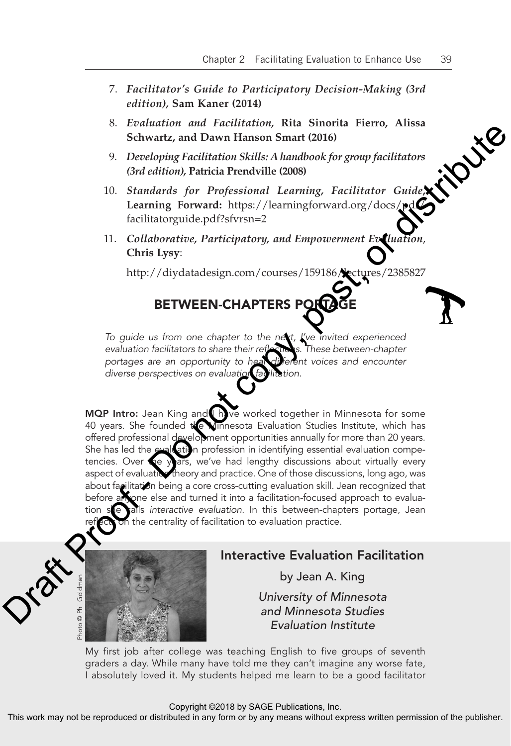- 7. *Facilitator's Guide to Participatory Decision-Making (3rd edition),* **Sam Kaner (2014)**
- 8. *Evaluation and Facilitation,* **Rita Sinorita Fierro, Alissa Schwartz, and Dawn Hanson Smart (2016)**
- 9. *Developing Facilitation Skills: A handbook for group facilitators (3rd edition),* **Patricia Prendville (2008)**
- 10. *Standards for Professional Learning, Facilitator Guide***, Learning Forward:** https://learningforward.org/docs/pdf/ facilitatorguide.pdf?sfvrsn=2
- 11. *Collaborative, Participatory, and Empowerment Evaluation*, **Chris Lysy**:

http://diydatadesign.com/courses/159186/lectures/2385827

# BETWEEN-CHAPTERS PORTA

*To guide us from one chapter to the next, I've invited experienced*  evaluation facilitators to share their reflections. These between-chapter portages are an opportunity to hear different voices and encounter *diverse perspectives on evaluation facilitation.*

MQP Intro: Jean King and I have worked together in Minnesota for some 40 years. She founded the Minnesota Evaluation Studies Institute, which has offered professional development opportunities annually for more than 20 years. She has led the evaluation profession in identifying essential evaluation competencies. Over the years, we've had lengthy discussions about virtually every aspect of evaluatice theory and practice. One of those discussions, long ago, was about facilitation being a core cross-cutting evaluation skill. Jean recognized that before anyone else and turned it into a facilitation-focused approach to evaluation she calls *interactive evaluation*. In this between-chapters portage, Jean ect on the centrality of facilitation to evaluation practice. Consumer the natural matrix and Solution Sittleting New Solution (1978)<br>
Schwartz, and Dawn Hanson Smart (2016)<br>  $D. Cred$  distribution Sittleting Racititation Sittleting Company fact<br>
Consuming for Professional Learning, Fa



# Interactive Evaluation Facilitation

by Jean A. King

*University of Minnesota and Minnesota Studies Evaluation Institute*

My first job after college was teaching English to five groups of seventh graders a day. While many have told me they can't imagine any worse fate, I absolutely loved it. My students helped me learn to be a good facilitator

## Copyright ©2018 by SAGE Publications, Inc.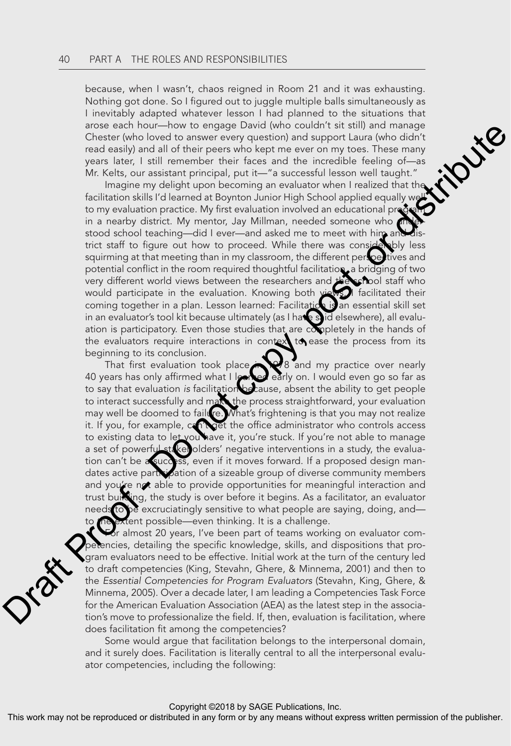because, when I wasn't, chaos reigned in Room 21 and it was exhausting. Nothing got done. So I figured out to juggle multiple balls simultaneously as I inevitably adapted whatever lesson I had planned to the situations that<br>arose each hour—how to engage David (who couldn't sit still) and manage<br>Chester (who loved to answer every question) and support Laura (who didn't<br>r arose each hour—how to engage David (who couldn't sit still) and manage Chester (who loved to answer every question) and support Laura (who didn't read easily) and all of their peers who kept me ever on my toes. These many years later, I still remember their faces and the incredible feeling of—as Mr. Kelts, our assistant principal, put it—"a successful lesson well taught."

Imagine my delight upon becoming an evaluator when I realized that the facilitation skills I'd learned at Boynton Junior High School applied equally we to my evaluation practice. My first evaluation involved an educational prode in a nearby district. My mentor, Jay Millman, needed someone who stood school teaching—did I ever—and asked me to meet with him and trict staff to figure out how to proceed. While there was considerably less squirming at that meeting than in my classroom, the different perspectives and potential conflict in the room required thoughtful facilitation, a bridging of two very different world views between the researchers and the school staff who would participate in the evaluation. Knowing both views, facilitated their coming together in a plan. Lesson learned: Facilitation is an essential skill set in an evaluator's tool kit because ultimately (as I have said elsewhere), all evaluation is participatory. Even those studies that are completely in the hands of the evaluators require interactions in context to ease the process from its beginning to its conclusion. ance each not co-from to grapp unit of the state of the state of the state of the state of the state of the state of the state of the state of the state of the state of the state of the state of the state of the state of t

That first evaluation took place 1978 and my practice over nearly 40 years has only affirmed what I learned early on. I would even go so far as to say that evaluation *is* facilitation because, absent the ability to get people to interact successfully and make the process straightforward, your evaluation may well be doomed to failure. What's frightening is that you may not realize it. If you, for example, can't get the office administrator who controls access to existing data to let you have it, you're stuck. If you're not able to manage a set of powerful stakeholders' negative interventions in a study, the evaluation can't be a success, even if it moves forward. If a proposed design mandates active participation of a sizeable group of diverse community members and you're not able to provide opportunities for meaningful interaction and trust building, the study is over before it begins. As a facilitator, an evaluator needs to be excruciatingly sensitive to what people are saying, doing, and to the extent possible—even thinking. It is a challenge.

or almost 20 years, I've been part of teams working on evaluator comencies, detailing the specific knowledge, skills, and dispositions that program evaluators need to be effective. Initial work at the turn of the century led to draft competencies (King, Stevahn, Ghere, & Minnema, 2001) and then to the *Essential Competencies for Program Evaluators* (Stevahn, King, Ghere, & Minnema, 2005). Over a decade later, I am leading a Competencies Task Force for the American Evaluation Association (AEA) as the latest step in the association's move to professionalize the field. If, then, evaluation is facilitation, where does facilitation fit among the competencies?

Some would argue that facilitation belongs to the interpersonal domain, and it surely does. Facilitation is literally central to all the interpersonal evaluator competencies, including the following:

## Copyright ©2018 by SAGE Publications, Inc.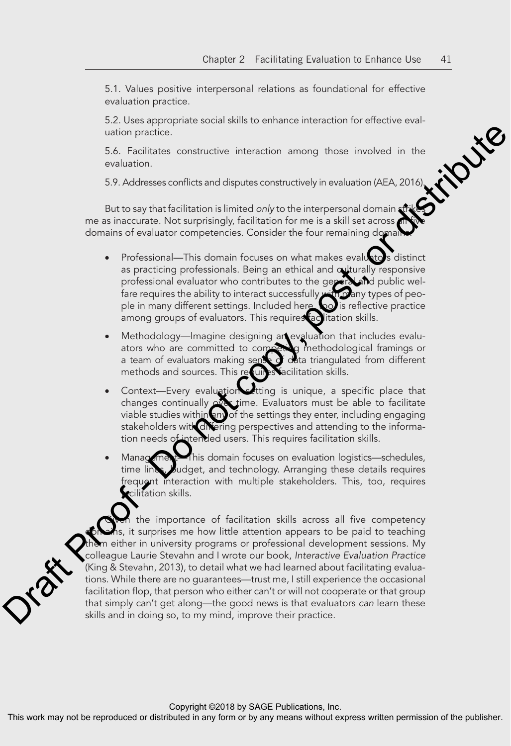5.1. Values positive interpersonal relations as foundational for effective evaluation practice.

uation practice.

5.2. Uses appropriate social skills to enhance interaction for effective eval-<br>uation practice.<br>5.6. Facilitates constructive interaction among those involved in the<br>evaluation.<br>5.9. Addresses conflicts and disputes constr 5.6. Facilitates constructive interaction among those involved in the evaluation.

5.9. Addresses conflicts and disputes constructively in evaluation (AEA, 2016).

But to say that facilitation is limited *only* to the interpersonal domain strikes me as inaccurate. Not surprisingly, facilitation for me is a skill set across domains of evaluator competencies. Consider the four remaining domain

- Professional—This domain focuses on what makes evaluato's distinct as practicing professionals. Being an ethical and culturally responsive professional evaluator who contributes to the general and public welfare requires the ability to interact successfully with many types of people in many different settings. Included here, too, is reflective practice among groups of evaluators. This requires facilitation skills.
- Methodology—Imagine designing an evaluation that includes evaluators who are committed to competing methodological framings or a team of evaluators making sense of data triangulated from different methods and sources. This requires facilitation skills.
- Context—Every evaluation setting is unique, a specific place that changes continually over time. Evaluators must be able to facilitate viable studies within *any* of the settings they enter, including engaging stakeholders with differing perspectives and attending to the information needs of intended users. This requires facilitation skills.
- Management—This domain focuses on evaluation logistics—schedules, time lines, budget, and technology. Arranging these details requires frequent interaction with multiple stakeholders. This, too, requires **r**cilitation skills.

the importance of facilitation skills across all five competency s, it surprises me how little attention appears to be paid to teaching m either in university programs or professional development sessions. My colleague Laurie Stevahn and I wrote our book, *Interactive Evaluation Practice*  (King & Stevahn, 2013), to detail what we had learned about facilitating evaluations. While there are no guarantees—trust me, I still experience the occasional facilitation flop, that person who either can't or will not cooperate or that group that simply can't get along—the good news is that evaluators *can* learn these uation practice.<br>
5.6. Froclutes constructive interaction among those involved in the evaluation<br>
constraints and disputes constructively in evaluation (AEA, 2016).<br>
But to say that fisclitation is interaction is interact skills and in doing so, to my mind, improve their practice.